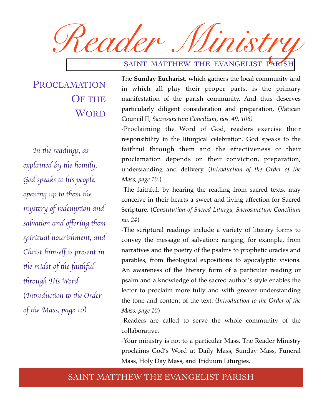*Reader Ministry*

### SAINT MATTHEW THE EVANGELIST PARISH

PROCLAMATION OF THE **WORD** 

*In the readings, as explained by the homily,* God speaks to his people, *opening up to them the mys*t*ry of redemp*t*on and salvation and offering them spiritual nourishment, and Christ himself is present in the midst of the faithful* t*rough His Word.*  (Introduction to the Order *of the Mass, page 10)* 

The **Sunday Eucharist**, which gathers the local community and in which all play their proper parts, is the primary manifestation of the parish community. And thus deserves particularly diligent consideration and preparation, (Vatican Council II, *Sacrosanctum Concilium, nos. 49, 106)*

-Proclaiming the Word of God, readers exercise their responsibility in the liturgical celebration. God speaks to the faithful through them and the effectiveness of their proclamation depends on their conviction, preparation, understanding and delivery. (*Introduction of the Order of the Mass, page 10.*)

-The faithful, by hearing the reading from sacred texts, may conceive in their hearts a sweet and living affection for Sacred Scripture. (*Constitution of Sacred Liturgy, Sacrosanctum Concilium no. 24*)

-The scriptural readings include a variety of literary forms to convey the message of salvation: ranging, for example, from narratives and the poetry of the psalms to prophetic oracles and parables, from theological expositions to apocalyptic visions. An awareness of the literary form of a particular reading or psalm and a knowledge of the sacred author's style enables the lector to proclaim more fully and with greater understanding the tone and content of the text. (*Introduction to the Order of the Mass, page 10*)

-Readers are called to serve the whole community of the collaborative.

-Your ministry is not to a particular Mass. The Reader Ministry proclaims God's Word at Daily Mass, Sunday Mass, Funeral Mass, Holy Day Mass, and Triduum Liturgies.

#### SAINT MATTHEW THE EVANGELIST PARISH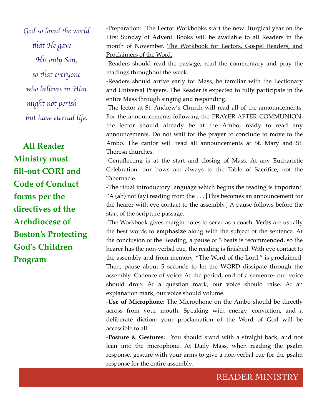God so loved the world t*at He gave His only Son, so* t*at everyone who believes in Him might not perish but have e*t*rnal life.*

**All Reader Ministry must fill-out CORI and Code of Conduct forms per the directives of the Archdiocese of Boston's Protecting God's Children Program**

-Preparation: The Lector Workbooks start the new liturgical year on the First Sunday of Advent. Books will be available to all Readers in the month of November. The Workbook for Lectors, Gospel Readers, and Proclaimers of the Word.

-Readers should read the passage, read the commentary and pray the readings throughout the week.

-Readers should arrive early for Mass, be familiar with the Lectionary and Universal Prayers. The Reader is expected to fully participate in the entire Mass through singing and responding.

-The lector at St. Andrew's Church will read all of the announcements. For the announcements following the PRAYER AFTER COMMUNION: the lector should already be at the Ambo, ready to read any announcements. Do not wait for the prayer to conclude to move to the Ambo. The cantor will read all announcements at St. Mary and St. Theresa churches.

-Genuflecting is at the start and closing of Mass. At any Eucharistic Celebration, our bows are always to the Table of Sacrifice, not the Tabernacle.

-The ritual introductory language which begins the reading is important. "A (ah) not (ay) reading from the  $\dots$  [This becomes an announcement for the hearer with eye contact to the assembly.] A pause follows before the start of the scripture passage.

-The Workbook gives margin notes to serve as a coach. **Verbs** are usually the best words to **emphasize** along with the subject of the sentence. At the conclusion of the Reading, a pause of 3 beats is recommended, so the hearer has the non-verbal cue, the reading is finished. With eye contact to the assembly and from memory, "The Word of the Lord." is proclaimed. Then, pause about 5 seconds to let the WORD dissipate through the assembly. Cadence of voice: At the period, end of a sentence- our voice should drop. At a question mark, our voice should raise. At an explanation mark, our voice should volume.

-**Use of Microphone**: The Microphone on the Ambo should be directly across from your mouth. Speaking with energy, conviction, and a deliberate diction; your proclamation of the Word of God will be accessible to all.

-**Posture & Gestures:** You should stand with a straight back, and not lean into the microphone. At Daily Mass, when reading the psalm response, gesture with your arms to give a non-verbal cue for the psalm response for the entire assembly.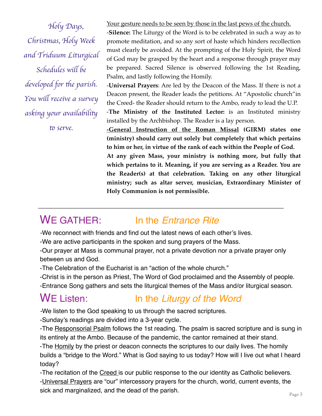*Holy Days, Christmas, Holy Week and Triduum Liturgical Schedules wi*l *be developed for the parish. You wi*l *receive a survey asking your availabili*t

to serve.

Your gesture needs to be seen by those in the last pews of the church.

-**Silence:** The Liturgy of the Word is to be celebrated in such a way as to promote meditation, and so any sort of haste which hinders recollection must clearly be avoided. At the prompting of the Holy Spirit, the Word of God may be grasped by the heart and a response through prayer may be prepared. Sacred Silence is observed following the 1st Reading, Psalm, and lastly following the Homily.

-**Universal Prayers**: Are led by the Deacon of the Mass. If there is not a Deacon present, the Reader leads the petitions. At "Apostolic church"in the Creed- the Reader should return to the Ambo, ready to lead the U.P.

-**The Ministry of the Instituted Lector:** is an Instituted ministry installed by the Archbishop. The Reader is a lay person.

**-General Instruction of the Roman Missal (GIRM) states one (ministry) should carry out solely but completely that which pertains to him or her, in virtue of the rank of each within the People of God.** 

**At any given Mass, your ministry is nothing more, but fully that which pertains to it. Meaning, if you are serving as a Reader. You are the Reader(s) at that celebration. Taking on any other liturgical ministry; such as altar server, musician, Extraordinary Minister of Holy Communion is not permissible.** 

# WE GATHER: In the *Entrance Rite*

*-*We reconnect with friends and find out the latest news of each other's lives.

-We are active participants in the spoken and sung prayers of the Mass.

-Our prayer at Mass is communal prayer, not a private devotion nor a private prayer only between us and God.

-The Celebration of the Eucharist is an "action of the whole church."

-Christ is in the person as Priest, The Word of God proclaimed and the Assembly of people. -Entrance Song gathers and sets the liturgical themes of the Mass and/or liturgical season.

## WE Listen: In the *Liturgy of the Word*

*-*We listen to the God speaking to us through the sacred scriptures.

-Sunday's readings are divided into a 3-year cycle.

-The Responsorial Psalm follows the 1st reading. The psalm is sacred scripture and is sung in its entirely at the Ambo. Because of the pandemic, the cantor remained at their stand.

-The Homily by the priest or deacon connects the scriptures to our daily lives. The homily builds a "bridge to the Word." What is God saying to us today? How will I live out what I heard today?

-The recitation of the Creed is our public response to the our identity as Catholic believers. -Universal Prayers are "our" intercessory prayers for the church, world, current events, the sick and marginalized, and the dead of the parish.